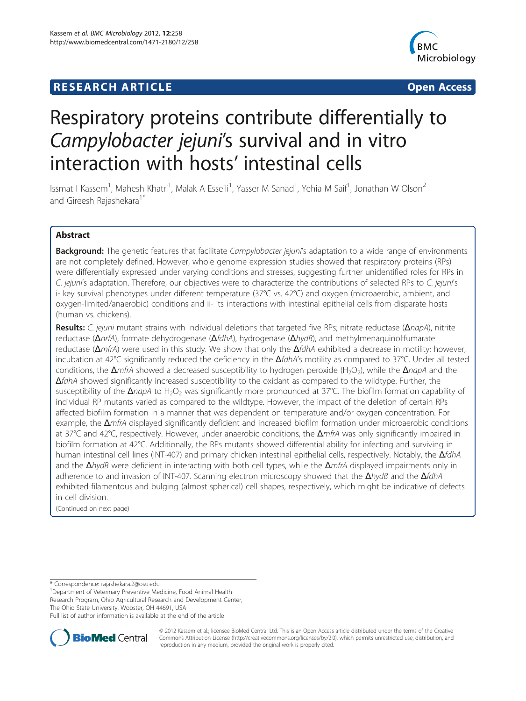# **RESEARCH ARTICLE Example 2014 12:30 The SEAR CHA RESEARCH ARTICLE**



# Respiratory proteins contribute differentially to Campylobacter jejuni's survival and in vitro interaction with hosts' intestinal cells

Issmat I Kassem<sup>1</sup>, Mahesh Khatri<sup>1</sup>, Malak A Esseili<sup>1</sup>, Yasser M Sanad<sup>1</sup>, Yehia M Saif<sup>1</sup>, Jonathan W Olson<sup>2</sup> and Gireesh Rajashekara<sup>1\*</sup>

# Abstract

Background: The genetic features that facilitate Campylobacter jejuni's adaptation to a wide range of environments are not completely defined. However, whole genome expression studies showed that respiratory proteins (RPs) were differentially expressed under varying conditions and stresses, suggesting further unidentified roles for RPs in C. jejuni's adaptation. Therefore, our objectives were to characterize the contributions of selected RPs to C. jejuni's i- key survival phenotypes under different temperature (37°C vs. 42°C) and oxygen (microaerobic, ambient, and oxygen-limited/anaerobic) conditions and ii- its interactions with intestinal epithelial cells from disparate hosts (human vs. chickens).

Results: C. jejuni mutant strains with individual deletions that targeted five RPs; nitrate reductase (ΔnapA), nitrite reductase (ΔnrfA), formate dehydrogenase (ΔfdhA), hydrogenase (ΔhydB), and methylmenaquinol:fumarate reductase ( $\Delta m$ frA) were used in this study. We show that only the  $\Delta f$ dhA exhibited a decrease in motility; however, incubation at 42°C significantly reduced the deficiency in the  $\Delta f d h A'$ s motility as compared to 37°C. Under all tested conditions, the  $\Delta m$ frA showed a decreased susceptibility to hydrogen peroxide (H<sub>2</sub>O<sub>2</sub>), while the  $\Delta n$ apA and the ΔfdhA showed significantly increased susceptibility to the oxidant as compared to the wildtype. Further, the susceptibility of the ΔnapA to H<sub>2</sub>O<sub>2</sub> was significantly more pronounced at 37°C. The biofilm formation capability of individual RP mutants varied as compared to the wildtype. However, the impact of the deletion of certain RPs affected biofilm formation in a manner that was dependent on temperature and/or oxygen concentration. For example, the  $\Delta m$ frA displayed significantly deficient and increased biofilm formation under microaerobic conditions at 37°C and 42°C, respectively. However, under anaerobic conditions, the ΔmfrA was only significantly impaired in biofilm formation at 42°C. Additionally, the RPs mutants showed differential ability for infecting and surviving in human intestinal cell lines (INT-407) and primary chicken intestinal epithelial cells, respectively. Notably, the  $\Delta f$ dhA and the  $\Delta$ hydB were deficient in interacting with both cell types, while the  $\Delta m$ frA displayed impairments only in adherence to and invasion of INT-407. Scanning electron microscopy showed that the  $\Delta h y dB$  and the  $\Delta f dhA$ exhibited filamentous and bulging (almost spherical) cell shapes, respectively, which might be indicative of defects in cell division.

(Continued on next page)

\* Correspondence: [rajashekara.2@osu.edu](mailto:rajashekara.2@osu.edu) <sup>1</sup>

Department of Veterinary Preventive Medicine, Food Animal Health Research Program, Ohio Agricultural Research and Development Center, The Ohio State University, Wooster, OH 44691, USA

Full list of author information is available at the end of the article



© 2012 Kassem et al.; licensee BioMed Central Ltd. This is an Open Access article distributed under the terms of the Creative Commons Attribution License [\(http://creativecommons.org/licenses/by/2.0\)](http://creativecommons.org/licenses/by/2.0), which permits unrestricted use, distribution, and reproduction in any medium, provided the original work is properly cited.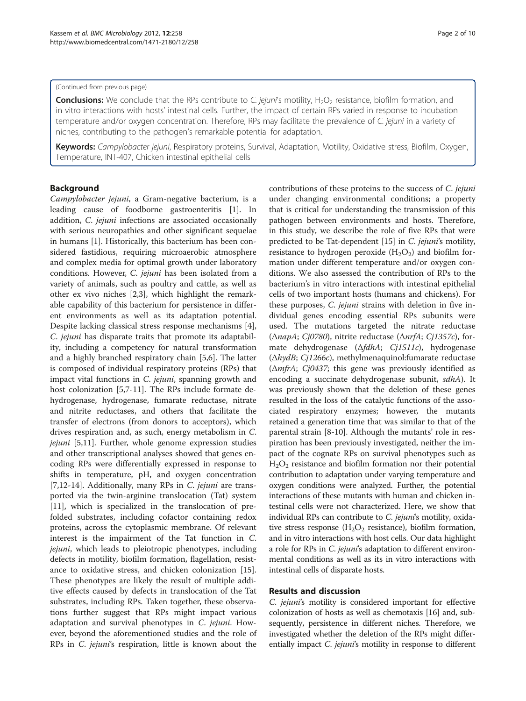#### (Continued from previous page)

**Conclusions:** We conclude that the RPs contribute to C. jejuni's motility, H<sub>2</sub>O<sub>2</sub> resistance, biofilm formation, and in vitro interactions with hosts' intestinal cells. Further, the impact of certain RPs varied in response to incubation temperature and/or oxygen concentration. Therefore, RPs may facilitate the prevalence of C. jejuni in a variety of niches, contributing to the pathogen's remarkable potential for adaptation.

Keywords: Campylobacter jejuni, Respiratory proteins, Survival, Adaptation, Motility, Oxidative stress, Biofilm, Oxygen, Temperature, INT-407, Chicken intestinal epithelial cells

# Background

Campylobacter jejuni, a Gram-negative bacterium, is a leading cause of foodborne gastroenteritis [[1\]](#page-8-0). In addition, C. jejuni infections are associated occasionally with serious neuropathies and other significant sequelae in humans [\[1](#page-8-0)]. Historically, this bacterium has been considered fastidious, requiring microaerobic atmosphere and complex media for optimal growth under laboratory conditions. However, C. jejuni has been isolated from a variety of animals, such as poultry and cattle, as well as other ex vivo niches [\[2,3](#page-8-0)], which highlight the remarkable capability of this bacterium for persistence in different environments as well as its adaptation potential. Despite lacking classical stress response mechanisms [\[4](#page-8-0)], C. jejuni has disparate traits that promote its adaptability, including a competency for natural transformation and a highly branched respiratory chain [[5,6\]](#page-8-0). The latter is composed of individual respiratory proteins (RPs) that impact vital functions in C. jejuni, spanning growth and host colonization [[5,7-11](#page-8-0)]. The RPs include formate dehydrogenase, hydrogenase, fumarate reductase, nitrate and nitrite reductases, and others that facilitate the transfer of electrons (from donors to acceptors), which drives respiration and, as such, energy metabolism in C. jejuni [[5,11\]](#page-8-0). Further, whole genome expression studies and other transcriptional analyses showed that genes encoding RPs were differentially expressed in response to shifts in temperature, pH, and oxygen concentration [[7,12-14](#page-8-0)]. Additionally, many RPs in C. jejuni are transported via the twin-arginine translocation (Tat) system [[11\]](#page-8-0), which is specialized in the translocation of prefolded substrates, including cofactor containing redox proteins, across the cytoplasmic membrane. Of relevant interest is the impairment of the Tat function in C. jejuni, which leads to pleiotropic phenotypes, including defects in motility, biofilm formation, flagellation, resistance to oxidative stress, and chicken colonization [\[15](#page-8-0)]. These phenotypes are likely the result of multiple additive effects caused by defects in translocation of the Tat substrates, including RPs. Taken together, these observations further suggest that RPs might impact various adaptation and survival phenotypes in C. jejuni. However, beyond the aforementioned studies and the role of RPs in C. jejuni's respiration, little is known about the contributions of these proteins to the success of C. jejuni under changing environmental conditions; a property that is critical for understanding the transmission of this pathogen between environments and hosts. Therefore, in this study, we describe the role of five RPs that were predicted to be Tat-dependent [\[15\]](#page-8-0) in C. jejuni's motility, resistance to hydrogen peroxide  $(H_2O_2)$  and biofilm formation under different temperature and/or oxygen conditions. We also assessed the contribution of RPs to the bacterium's in vitro interactions with intestinal epithelial cells of two important hosts (humans and chickens). For these purposes, C. *jejuni* strains with deletion in five individual genes encoding essential RPs subunits were used. The mutations targeted the nitrate reductase (ΔnapA; Cj0780), nitrite reductase (ΔnrfA; Cj1357c), formate dehydrogenase (ΔfdhA; Cj1511c), hydrogenase (ΔhydB; Cj1266c), methylmenaquinol:fumarate reductase ( $\Delta m$ frA; Cj0437; this gene was previously identified as encoding a succinate dehydrogenase subunit, sdhA). It was previously shown that the deletion of these genes resulted in the loss of the catalytic functions of the associated respiratory enzymes; however, the mutants retained a generation time that was similar to that of the parental strain [\[8](#page-8-0)-[10\]](#page-8-0). Although the mutants' role in respiration has been previously investigated, neither the impact of the cognate RPs on survival phenotypes such as  $H_2O_2$  resistance and biofilm formation nor their potential contribution to adaptation under varying temperature and oxygen conditions were analyzed. Further, the potential interactions of these mutants with human and chicken intestinal cells were not characterized. Here, we show that individual RPs can contribute to C. jejuni's motility, oxidative stress response  $(H_2O_2)$  resistance), biofilm formation, and in vitro interactions with host cells. Our data highlight a role for RPs in C. jejuni's adaptation to different environmental conditions as well as its in vitro interactions with intestinal cells of disparate hosts.

## Results and discussion

C. jejuni's motility is considered important for effective colonization of hosts as well as chemotaxis [\[16\]](#page-8-0) and, subsequently, persistence in different niches. Therefore, we investigated whether the deletion of the RPs might differentially impact *C. jejuni's* motility in response to different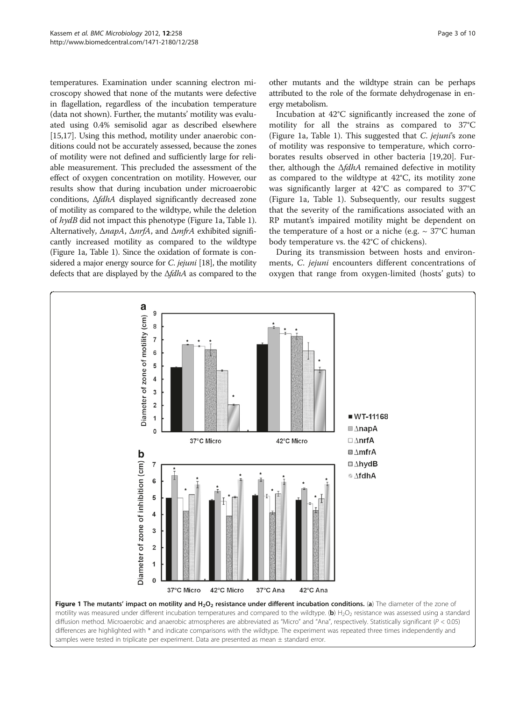<span id="page-2-0"></span>temperatures. Examination under scanning electron microscopy showed that none of the mutants were defective in flagellation, regardless of the incubation temperature (data not shown). Further, the mutants' motility was evaluated using 0.4% semisolid agar as described elsewhere [[15,17](#page-8-0)]. Using this method, motility under anaerobic conditions could not be accurately assessed, because the zones of motility were not defined and sufficiently large for reliable measurement. This precluded the assessment of the effect of oxygen concentration on motility. However, our results show that during incubation under microaerobic conditions, ΔfdhA displayed significantly decreased zone of motility as compared to the wildtype, while the deletion of hydB did not impact this phenotype (Figure 1a, Table [1](#page-3-0)). Alternatively, ΔnapA, ΔnrfA, and ΔmfrA exhibited significantly increased motility as compared to the wildtype (Figure 1a, Table [1\)](#page-3-0). Since the oxidation of formate is considered a major energy source for *C. jejuni* [\[18\]](#page-8-0), the motility defects that are displayed by the ΔfdhA as compared to the

other mutants and the wildtype strain can be perhaps attributed to the role of the formate dehydrogenase in energy metabolism.

Incubation at 42°C significantly increased the zone of motility for all the strains as compared to 37°C (Figure 1a, Table [1\)](#page-3-0). This suggested that C. jejuni's zone of motility was responsive to temperature, which corroborates results observed in other bacteria [\[19](#page-8-0),[20](#page-9-0)]. Further, although the  $\Delta f d h A$  remained defective in motility as compared to the wildtype at 42°C, its motility zone was significantly larger at 42°C as compared to 37°C (Figure 1a, Table [1\)](#page-3-0). Subsequently, our results suggest that the severity of the ramifications associated with an RP mutant's impaired motility might be dependent on the temperature of a host or a niche (e.g.  $\sim 37^{\circ}$ C human body temperature vs. the 42°C of chickens).

During its transmission between hosts and environments, C. jejuni encounters different concentrations of oxygen that range from oxygen-limited (hosts' guts) to



diffusion method. Microaerobic and anaerobic atmospheres are abbreviated as "Micro" and "Ana", respectively. Statistically significant ( $P < 0.05$ ) differences are highlighted with \* and indicate comparisons with the wildtype. The experiment was repeated three times independently and samples were tested in triplicate per experiment. Data are presented as mean  $\pm$  standard error.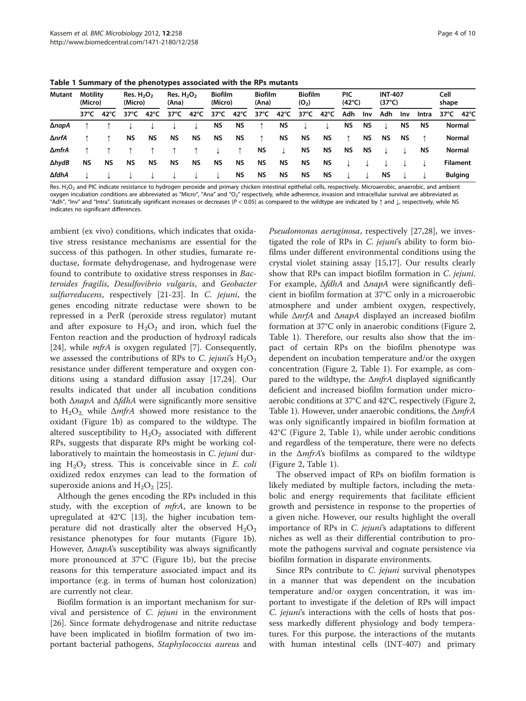<span id="page-3-0"></span>Table 1 Summary of the phenotypes associated with the RPs mutants

| Mutant | <b>Motility</b><br>(Micro) |           | Res. $H_2O_2$<br>(Micro) |           | Res. $H_2O_2$<br>(Ana) |           | <b>Biofilm</b><br>(Micro) |      | <b>Biofilm</b><br>(Ana) |      | <b>Biofilm</b><br>$(O_2)$ |      | <b>PIC</b><br>$(42^{\circ}C)$ |           | <b>INT-407</b><br>$(37^{\circ}C)$ |           |           | Cell<br>shape   |      |
|--------|----------------------------|-----------|--------------------------|-----------|------------------------|-----------|---------------------------|------|-------------------------|------|---------------------------|------|-------------------------------|-----------|-----------------------------------|-----------|-----------|-----------------|------|
|        | 37°C                       | 42°C      | 37 $^{\circ}$ C          | 42°C      | 37°C                   | 42°C      | 37°C                      | 42°C | 37°C                    | 42°C | 37°C                      | 42°C | Adh                           | Inv       | Adh                               | Inv       | Intra     | 37°C            | 42°C |
| ∆napA  |                            |           |                          |           |                        |           | NS                        | ΝS   |                         | ΝS   |                           |      | <b>NS</b>                     | <b>NS</b> |                                   | <b>NS</b> | <b>NS</b> | Normal          |      |
| ∆nrfA  |                            |           | ΝS                       | ΝS        | ΝS                     | ΝS        | ΝS                        | ΝS   |                         | ΝS   | <b>NS</b>                 | ΝS   | ↑                             | ΝS        | ΝS                                | <b>NS</b> |           | <b>Normal</b>   |      |
| ∆mfrA  |                            |           |                          |           |                        |           |                           |      | ΝS                      |      | NS.                       | ΝS   | ΝS                            | ΝS        |                                   |           | <b>NS</b> | <b>Normal</b>   |      |
| ∆hydB  | ΝS                         | <b>NS</b> | ΝS                       | <b>NS</b> | <b>NS</b>              | <b>NS</b> | <b>NS</b>                 | ΝS   | <b>NS</b>               | ΝS   | NS.                       | ΝS   |                               |           |                                   |           |           | <b>Filament</b> |      |
| ∆fdhA  |                            |           |                          |           |                        |           |                           | NS.  | ΝS                      | ΝS   | NS.                       | ΝS   |                               |           | ΝS                                |           |           | <b>Bulging</b>  |      |

Res. H<sub>2</sub>O<sub>2</sub> and PIC indicate resistance to hydrogen peroxide and primary chicken intestinal epithelial cells, respectively. Microaerobic, anaerobic, and ambient oxygen incubation conditions are abbreviated as "Micro", "Ana" and "O<sub>2</sub>" respectively, while adherence, invasion and intracellular survival are abbreviated as "Adh", "Inv" and "Intra". Statistically significant increases or decreases (P < 0.05) as compared to the wildtype are indicated by ↑ and ↓, respectively, while NS indicates no significant differences.

ambient (ex vivo) conditions, which indicates that oxidative stress resistance mechanisms are essential for the success of this pathogen. In other studies, fumarate reductase, formate dehydrogenase, and hydrogenase were found to contribute to oxidative stress responses in Bacteroides fragilis, Desulfovibrio vulgaris, and Geobacter sulfurreducens, respectively [\[21](#page-9-0)-[23](#page-9-0)]. In C. jejuni, the genes encoding nitrate reductase were shown to be repressed in a PerR (peroxide stress regulator) mutant and after exposure to  $H_2O_2$  and iron, which fuel the Fenton reaction and the production of hydroxyl radicals [[24\]](#page-9-0), while *mfrA* is oxygen regulated [\[7](#page-8-0)]. Consequently, we assessed the contributions of RPs to C. jejuni's  $H_2O_2$ resistance under different temperature and oxygen conditions using a standard diffusion assay [[17,](#page-8-0)[24\]](#page-9-0). Our results indicated that under all incubation conditions both  $\triangle$ *napA* and  $\triangle$ *fdhA* were significantly more sensitive to  $H_2O_2$ , while  $\Delta mfrA$  showed more resistance to the oxidant (Figure [1b\)](#page-2-0) as compared to the wildtype. The altered susceptibility to  $H_2O_2$  associated with different RPs, suggests that disparate RPs might be working collaboratively to maintain the homeostasis in C. jejuni during  $H_2O_2$  stress. This is conceivable since in E. coli oxidized redox enzymes can lead to the formation of superoxide anions and  $H_2O_2$  [\[25](#page-9-0)].

Although the genes encoding the RPs included in this study, with the exception of *mfrA*, are known to be upregulated at 42°C [[13](#page-8-0)], the higher incubation temperature did not drastically alter the observed  $H_2O_2$ resistance phenotypes for four mutants (Figure [1b](#page-2-0)). However, Δ*napA*'s susceptibility was always significantly more pronounced at 37°C (Figure [1b](#page-2-0)), but the precise reasons for this temperature associated impact and its importance (e.g. in terms of human host colonization) are currently not clear.

Biofilm formation is an important mechanism for survival and persistence of C. jejuni in the environment [[26\]](#page-9-0). Since formate dehydrogenase and nitrite reductase have been implicated in biofilm formation of two important bacterial pathogens, Staphylococcus aureus and Pseudomonas aeruginosa, respectively [\[27,28](#page-9-0)], we investigated the role of RPs in C. jejuni's ability to form biofilms under different environmental conditions using the crystal violet staining assay [[15,17\]](#page-8-0). Our results clearly show that RPs can impact biofilm formation in C. jejuni. For example, ΔfdhA and ΔnapA were significantly deficient in biofilm formation at 37°C only in a microaerobic atmosphere and under ambient oxygen, respectively, while Δ*nrfA* and Δ*napA* displayed an increased biofilm formation at 37°C only in anaerobic conditions (Figure [2](#page-4-0), Table 1). Therefore, our results also show that the impact of certain RPs on the biofilm phenotype was dependent on incubation temperature and/or the oxygen concentration (Figure [2,](#page-4-0) Table 1). For example, as compared to the wildtype, the  $\Delta mfrA$  displayed significantly deficient and increased biofilm formation under microaerobic conditions at 37°C and 42°C, respectively (Figure [2](#page-4-0), Table 1). However, under anaerobic conditions, the  $\Delta m f r A$ was only significantly impaired in biofilm formation at 42°C (Figure [2,](#page-4-0) Table 1), while under aerobic conditions and regardless of the temperature, there were no defects in the  $\Delta mfrA$ 's biofilms as compared to the wildtype (Figure [2,](#page-4-0) Table 1).

The observed impact of RPs on biofilm formation is likely mediated by multiple factors, including the metabolic and energy requirements that facilitate efficient growth and persistence in response to the properties of a given niche. However, our results highlight the overall importance of RPs in C. jejuni's adaptations to different niches as well as their differential contribution to promote the pathogens survival and cognate persistence via biofilm formation in disparate environments.

Since RPs contribute to C. jejuni survival phenotypes in a manner that was dependent on the incubation temperature and/or oxygen concentration, it was important to investigate if the deletion of RPs will impact C. jejuni's interactions with the cells of hosts that possess markedly different physiology and body temperatures. For this purpose, the interactions of the mutants with human intestinal cells (INT-407) and primary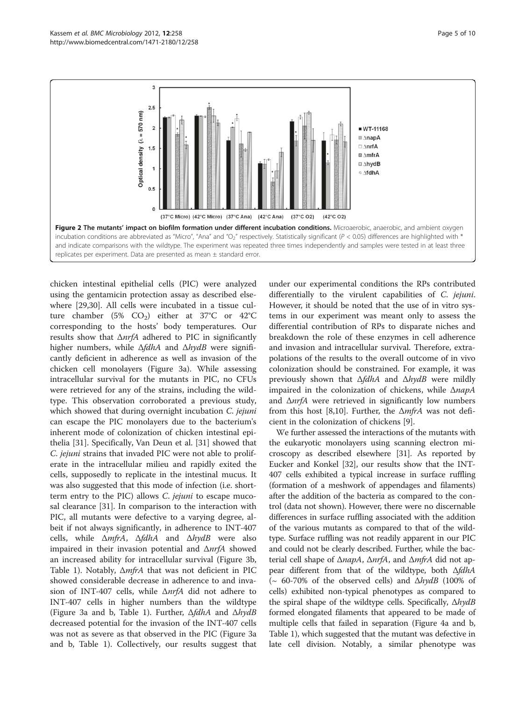<span id="page-4-0"></span>

chicken intestinal epithelial cells (PIC) were analyzed using the gentamicin protection assay as described elsewhere [[29,30\]](#page-9-0). All cells were incubated in a tissue culture chamber (5% CO<sub>2</sub>) either at 37°C or 42°C corresponding to the hosts' body temperatures. Our results show that ΔnrfA adhered to PIC in significantly higher numbers, while  $\Delta f d h A$  and  $\Delta h y d B$  were significantly deficient in adherence as well as invasion of the chicken cell monolayers (Figure [3a\)](#page-5-0). While assessing intracellular survival for the mutants in PIC, no CFUs were retrieved for any of the strains, including the wildtype. This observation corroborated a previous study, which showed that during overnight incubation C. jejuni can escape the PIC monolayers due to the bacterium's inherent mode of colonization of chicken intestinal epithelia [\[31](#page-9-0)]. Specifically, Van Deun et al. [[31](#page-9-0)] showed that C. jejuni strains that invaded PIC were not able to proliferate in the intracellular milieu and rapidly exited the cells, supposedly to replicate in the intestinal mucus. It was also suggested that this mode of infection (i.e. shortterm entry to the PIC) allows C. jejuni to escape mucosal clearance [\[31](#page-9-0)]. In comparison to the interaction with PIC, all mutants were defective to a varying degree, albeit if not always significantly, in adherence to INT-407 cells, while  $\Delta mfrA$ ,  $\Delta fdhA$  and  $\Delta hydB$  were also impaired in their invasion potential and  $\Delta n r f A$  showed an increased ability for intracellular survival (Figure [3b](#page-5-0), Table [1\)](#page-3-0). Notably, ΔmfrA that was not deficient in PIC showed considerable decrease in adherence to and invasion of INT-407 cells, while ΔnrfA did not adhere to INT-407 cells in higher numbers than the wildtype (Figure [3a](#page-5-0) and b, Table [1](#page-3-0)). Further,  $\Delta f d h A$  and  $\Delta h y d B$ decreased potential for the invasion of the INT-407 cells was not as severe as that observed in the PIC (Figure [3a](#page-5-0) and b, Table [1\)](#page-3-0). Collectively, our results suggest that

under our experimental conditions the RPs contributed differentially to the virulent capabilities of C. jejuni. However, it should be noted that the use of in vitro systems in our experiment was meant only to assess the differential contribution of RPs to disparate niches and breakdown the role of these enzymes in cell adherence and invasion and intracellular survival. Therefore, extrapolations of the results to the overall outcome of in vivo colonization should be constrained. For example, it was previously shown that  $\Delta f d h A$  and  $\Delta h y d B$  were mildly impaired in the colonization of chickens, while ΔnapA and  $\Delta nrfA$  were retrieved in significantly low numbers from this host [\[8,10](#page-8-0)]. Further, the  $\Delta m$ frA was not deficient in the colonization of chickens [[9\]](#page-8-0).

We further assessed the interactions of the mutants with the eukaryotic monolayers using scanning electron microscopy as described elsewhere [[31](#page-9-0)]. As reported by Eucker and Konkel [[32](#page-9-0)], our results show that the INT-407 cells exhibited a typical increase in surface ruffling (formation of a meshwork of appendages and filaments) after the addition of the bacteria as compared to the control (data not shown). However, there were no discernable differences in surface ruffling associated with the addition of the various mutants as compared to that of the wildtype. Surface ruffling was not readily apparent in our PIC and could not be clearly described. Further, while the bacterial cell shape of Δ*napA*, Δ*nrfA*, and Δ*mfrA* did not appear different from that of the wildtype, both ΔfdhA (~ 60-70% of the observed cells) and  $\Delta hydB$  (100% of cells) exhibited non-typical phenotypes as compared to the spiral shape of the wildtype cells. Specifically, ΔhydB formed elongated filaments that appeared to be made of multiple cells that failed in separation (Figure [4a](#page-6-0) and b, Table [1\)](#page-3-0), which suggested that the mutant was defective in late cell division. Notably, a similar phenotype was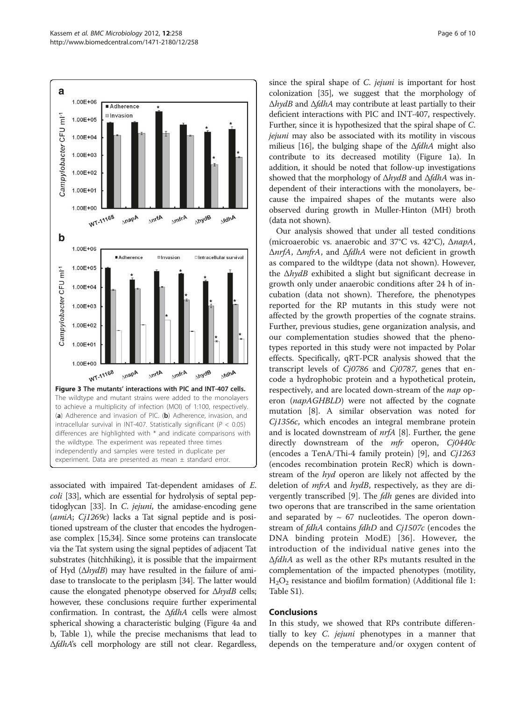<span id="page-5-0"></span>

associated with impaired Tat-dependent amidases of E. coli [\[33\]](#page-9-0), which are essential for hydrolysis of septal pep-tidoglycan [\[33\]](#page-9-0). In *C. jejuni*, the amidase-encoding gene (amiA; Cj1269c) lacks a Tat signal peptide and is positioned upstream of the cluster that encodes the hydrogenase complex [[15](#page-8-0)[,34\]](#page-9-0). Since some proteins can translocate via the Tat system using the signal peptides of adjacent Tat substrates (hitchhiking), it is possible that the impairment of Hyd  $(\Delta hydB)$  may have resulted in the failure of amidase to translocate to the periplasm [[34](#page-9-0)]. The latter would cause the elongated phenotype observed for  $\Delta hydB$  cells; however, these conclusions require further experimental confirmation. In contrast, the  $\Delta f d h A$  cells were almost spherical showing a characteristic bulging (Figure [4a](#page-6-0) and b, Table [1\)](#page-3-0), while the precise mechanisms that lead to ΔfdhA's cell morphology are still not clear. Regardless, since the spiral shape of *C. jejuni* is important for host colonization [[35](#page-9-0)], we suggest that the morphology of  $\Delta hydB$  and  $\Delta fdhA$  may contribute at least partially to their deficient interactions with PIC and INT-407, respectively. Further, since it is hypothesized that the spiral shape of C. jejuni may also be associated with its motility in viscous milieus [[16](#page-8-0)], the bulging shape of the  $\Delta f d h$ A might also contribute to its decreased motility (Figure [1a](#page-2-0)). In addition, it should be noted that follow-up investigations showed that the morphology of ΔhydB and ΔfdhA was independent of their interactions with the monolayers, because the impaired shapes of the mutants were also observed during growth in Muller-Hinton (MH) broth (data not shown).

Our analysis showed that under all tested conditions (microaerobic vs. anaerobic and 37°C vs. 42°C), ΔnapA, ΔnrfA, ΔmfrA, and ΔfdhA were not deficient in growth as compared to the wildtype (data not shown). However, the  $\Delta hydB$  exhibited a slight but significant decrease in growth only under anaerobic conditions after 24 h of incubation (data not shown). Therefore, the phenotypes reported for the RP mutants in this study were not affected by the growth properties of the cognate strains. Further, previous studies, gene organization analysis, and our complementation studies showed that the phenotypes reported in this study were not impacted by Polar effects. Specifically, qRT-PCR analysis showed that the transcript levels of Cj0786 and Cj0787, genes that encode a hydrophobic protein and a hypothetical protein, respectively, and are located down-stream of the nap operon (napAGHBLD) were not affected by the cognate mutation [\[8](#page-8-0)]. A similar observation was noted for Cj1356c, which encodes an integral membrane protein and is located downstream of nrfA [[8](#page-8-0)]. Further, the gene directly downstream of the mfr operon, Cj0440c (encodes a TenA/Thi-4 family protein) [\[9](#page-8-0)], and Cj1263 (encodes recombination protein RecR) which is downstream of the hyd operon are likely not affected by the deletion of mfrA and hydB, respectively, as they are di-vergently transcribed [[9\]](#page-8-0). The *fdh* genes are divided into two operons that are transcribed in the same orientation and separated by  $\sim 67$  nucleotides. The operon downstream of *fdhA* contains *fdhD* and *Cj1507c* (encodes the DNA binding protein ModE) [[36](#page-9-0)]. However, the introduction of the individual native genes into the ΔfdhA as well as the other RPs mutants resulted in the complementation of the impacted phenotypes (motility,  $H<sub>2</sub>O<sub>2</sub>$  resistance and biofilm formation) (Additional file [1](#page-8-0): Table S1).

# Conclusions

In this study, we showed that RPs contribute differentially to key *C. jejuni* phenotypes in a manner that depends on the temperature and/or oxygen content of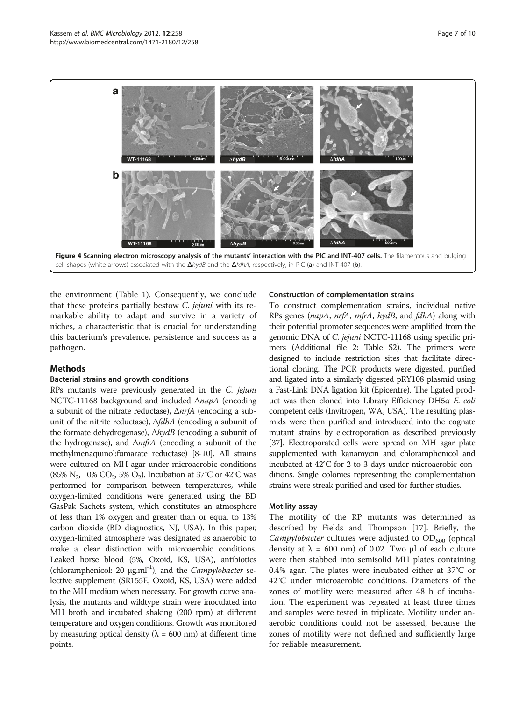<span id="page-6-0"></span>

the environment (Table [1\)](#page-3-0). Consequently, we conclude that these proteins partially bestow C. jejuni with its remarkable ability to adapt and survive in a variety of niches, a characteristic that is crucial for understanding this bacterium's prevalence, persistence and success as a pathogen.

## Methods

# Bacterial strains and growth conditions

RPs mutants were previously generated in the C. jejuni NCTC-11168 background and included ΔnapA (encoding a subunit of the nitrate reductase), ΔnrfA (encoding a subunit of the nitrite reductase), ΔfdhA (encoding a subunit of the formate dehydrogenase),  $\Delta hydB$  (encoding a subunit of the hydrogenase), and  $\Delta m\hat{r}A$  (encoding a subunit of the methylmenaquinol:fumarate reductase) [\[8](#page-8-0)-[10](#page-8-0)]. All strains were cultured on MH agar under microaerobic conditions (85% N<sub>2</sub>, 10% CO<sub>2</sub>, 5% O<sub>2</sub>). Incubation at 37°C or 42°C was performed for comparison between temperatures, while oxygen-limited conditions were generated using the BD GasPak Sachets system, which constitutes an atmosphere of less than 1% oxygen and greater than or equal to 13% carbon dioxide (BD diagnostics, NJ, USA). In this paper, oxygen-limited atmosphere was designated as anaerobic to make a clear distinction with microaerobic conditions. Leaked horse blood (5%, Oxoid, KS, USA), antibiotics (chloramphenicol: 20  $\mu$ g.ml<sup>-1</sup>), and the *Campylobacter* selective supplement (SR155E, Oxoid, KS, USA) were added to the MH medium when necessary. For growth curve analysis, the mutants and wildtype strain were inoculated into MH broth and incubated shaking (200 rpm) at different temperature and oxygen conditions. Growth was monitored by measuring optical density ( $\lambda = 600$  nm) at different time points.

#### Construction of complementation strains

To construct complementation strains, individual native RPs genes (napA, nrfA, mfrA, hydB, and fdhA) along with their potential promoter sequences were amplified from the genomic DNA of C. jejuni NCTC-11168 using specific primers (Additional file [2:](#page-8-0) Table S2). The primers were designed to include restriction sites that facilitate directional cloning. The PCR products were digested, purified and ligated into a similarly digested pRY108 plasmid using a Fast-Link DNA ligation kit (Epicentre). The ligated product was then cloned into Library Efficiency DH5α E. coli competent cells (Invitrogen, WA, USA). The resulting plasmids were then purified and introduced into the cognate mutant strains by electroporation as described previously [[37](#page-9-0)]. Electroporated cells were spread on MH agar plate supplemented with kanamycin and chloramphenicol and incubated at 42°C for 2 to 3 days under microaerobic conditions. Single colonies representing the complementation strains were streak purified and used for further studies.

#### Motility assay

The motility of the RP mutants was determined as described by Fields and Thompson [[17\]](#page-8-0). Briefly, the *Campylobacter* cultures were adjusted to  $OD_{600}$  (optical density at  $\lambda = 600$  nm) of 0.02. Two μl of each culture were then stabbed into semisolid MH plates containing 0.4% agar. The plates were incubated either at 37°C or 42°C under microaerobic conditions. Diameters of the zones of motility were measured after 48 h of incubation. The experiment was repeated at least three times and samples were tested in triplicate. Motility under anaerobic conditions could not be assessed, because the zones of motility were not defined and sufficiently large for reliable measurement.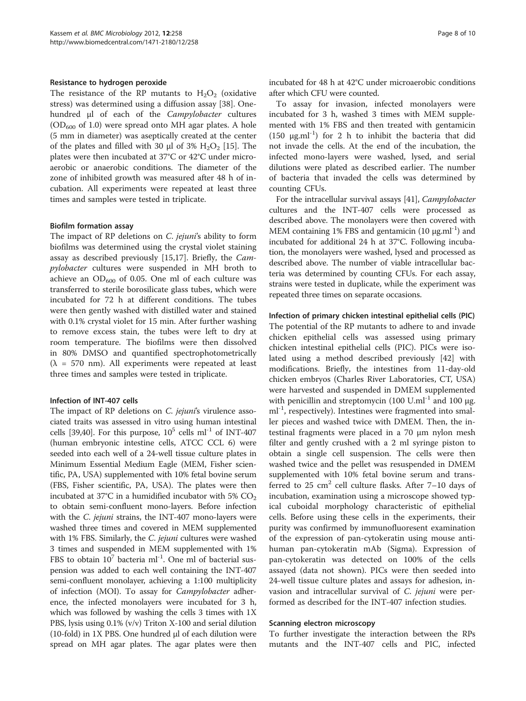#### Resistance to hydrogen peroxide

The resistance of the RP mutants to  $H_2O_2$  (oxidative stress) was determined using a diffusion assay [\[38](#page-9-0)]. Onehundred μl of each of the Campylobacter cultures  $(OD<sub>600</sub>$  of 1.0) were spread onto MH agar plates. A hole (5 mm in diameter) was aseptically created at the center of the plates and filled with 30  $\mu$ l of 3% H<sub>2</sub>O<sub>2</sub> [[15\]](#page-8-0). The plates were then incubated at 37°C or 42°C under microaerobic or anaerobic conditions. The diameter of the zone of inhibited growth was measured after 48 h of incubation. All experiments were repeated at least three times and samples were tested in triplicate.

#### Biofilm formation assay

The impact of RP deletions on C. jejuni's ability to form biofilms was determined using the crystal violet staining assay as described previously [\[15,17](#page-8-0)]. Briefly, the Campylobacter cultures were suspended in MH broth to achieve an  $OD_{600}$  of 0.05. One ml of each culture was transferred to sterile borosilicate glass tubes, which were incubated for 72 h at different conditions. The tubes were then gently washed with distilled water and stained with 0.1% crystal violet for 15 min. After further washing to remove excess stain, the tubes were left to dry at room temperature. The biofilms were then dissolved in 80% DMSO and quantified spectrophotometrically  $(\lambda = 570 \text{ nm})$ . All experiments were repeated at least three times and samples were tested in triplicate.

#### Infection of INT-407 cells

The impact of RP deletions on C. jejuni's virulence associated traits was assessed in vitro using human intestinal cells [[39,40](#page-9-0)]. For this purpose,  $10^5$  cells ml<sup>-1</sup> of INT-407 (human embryonic intestine cells, ATCC CCL 6) were seeded into each well of a 24-well tissue culture plates in Minimum Essential Medium Eagle (MEM, Fisher scientific, PA, USA) supplemented with 10% fetal bovine serum (FBS, Fisher scientific, PA, USA). The plates were then incubated at 37°C in a humidified incubator with 5%  $CO<sub>2</sub>$ to obtain semi-confluent mono-layers. Before infection with the *C. jejuni* strains, the INT-407 mono-layers were washed three times and covered in MEM supplemented with 1% FBS. Similarly, the *C. jejuni* cultures were washed 3 times and suspended in MEM supplemented with 1% FBS to obtain  $10^7$  bacteria ml<sup>-1</sup>. One ml of bacterial suspension was added to each well containing the INT-407 semi-confluent monolayer, achieving a 1:100 multiplicity of infection (MOI). To assay for Campylobacter adherence, the infected monolayers were incubated for 3 h, which was followed by washing the cells 3 times with 1X PBS, lysis using 0.1% (v/v) Triton X-100 and serial dilution (10-fold) in 1X PBS. One hundred μl of each dilution were spread on MH agar plates. The agar plates were then incubated for 48 h at 42°C under microaerobic conditions after which CFU were counted.

To assay for invasion, infected monolayers were incubated for 3 h, washed 3 times with MEM supplemented with 1% FBS and then treated with gentamicin (150  $\mu$ g.ml<sup>-1</sup>) for 2 h to inhibit the bacteria that did not invade the cells. At the end of the incubation, the infected mono-layers were washed, lysed, and serial dilutions were plated as described earlier. The number of bacteria that invaded the cells was determined by counting CFUs.

For the intracellular survival assays [\[41\]](#page-9-0), Campylobacter cultures and the INT-407 cells were processed as described above. The monolayers were then covered with MEM containing 1% FBS and gentamicin  $(10 \mu g.m<sup>-1</sup>)$  and incubated for additional 24 h at 37°C. Following incubation, the monolayers were washed, lysed and processed as described above. The number of viable intracellular bacteria was determined by counting CFUs. For each assay, strains were tested in duplicate, while the experiment was repeated three times on separate occasions.

#### Infection of primary chicken intestinal epithelial cells (PIC)

The potential of the RP mutants to adhere to and invade chicken epithelial cells was assessed using primary chicken intestinal epithelial cells (PIC). PICs were isolated using a method described previously [[42](#page-9-0)] with modifications. Briefly, the intestines from 11-day-old chicken embryos (Charles River Laboratories, CT, USA) were harvested and suspended in DMEM supplemented with penicillin and streptomycin (100 U.ml<sup>-1</sup> and 100 μg.  $ml^{-1}$ , respectively). Intestines were fragmented into smaller pieces and washed twice with DMEM. Then, the intestinal fragments were placed in a 70 μm nylon mesh filter and gently crushed with a 2 ml syringe piston to obtain a single cell suspension. The cells were then washed twice and the pellet was resuspended in DMEM supplemented with 10% fetal bovine serum and transferred to 25  $\text{cm}^2$  cell culture flasks. After 7-10 days of incubation, examination using a microscope showed typical cuboidal morphology characteristic of epithelial cells. Before using these cells in the experiments, their purity was confirmed by immunofluoresent examination of the expression of pan-cytokeratin using mouse antihuman pan-cytokeratin mAb (Sigma). Expression of pan-cytokeratin was detected on 100% of the cells assayed (data not shown). PICs were then seeded into 24-well tissue culture plates and assays for adhesion, invasion and intracellular survival of C. jejuni were performed as described for the INT-407 infection studies.

#### Scanning electron microscopy

To further investigate the interaction between the RPs mutants and the INT-407 cells and PIC, infected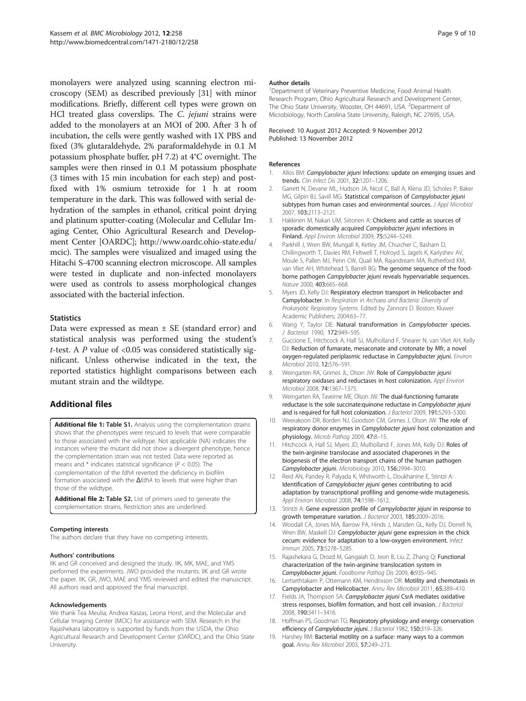<span id="page-8-0"></span>monolayers were analyzed using scanning electron microscopy (SEM) as described previously [[31](#page-9-0)] with minor modifications. Briefly, different cell types were grown on HCl treated glass coverslips. The C. jejuni strains were added to the monolayers at an MOI of 200. After 3 h of incubation, the cells were gently washed with 1X PBS and fixed (3% glutaraldehyde, 2% paraformaldehyde in 0.1 M potassium phosphate buffer, pH 7.2) at 4°C overnight. The samples were then rinsed in 0.1 M potassium phosphate (3 times with 15 min incubation for each step) and postfixed with 1% osmium tetroxide for 1 h at room temperature in the dark. This was followed with serial dehydration of the samples in ethanol, critical point drying and platinum sputter-coating (Molecular and Cellular Imaging Center, Ohio Agricultural Research and Development Center [OARDC]; [http://www.oardc.ohio-state.edu/](http://www.oardc.ohio-state.edu/mcic) [mcic\)](http://www.oardc.ohio-state.edu/mcic). The samples were visualized and imaged using the Hitachi S-4700 scanning electron microscope. All samples were tested in duplicate and non-infected monolayers were used as controls to assess morphological changes associated with the bacterial infection.

#### **Statistics**

Data were expressed as mean  $\pm$  SE (standard error) and statistical analysis was performed using the student's t-test. A  $P$  value of <0.05 was considered statistically significant. Unless otherwise indicated in the text, the reported statistics highlight comparisons between each mutant strain and the wildtype.

# Additional files

[Additional file 1:](http://www.biomedcentral.com/content/supplementary/1471-2180-12-258-S1.docx) Table S1. Analysis using the complementation strains shows that the phenotypes were rescued to levels that were comparable to those associated with the wildtype. Not applicable (NA) indicates the instances where the mutant did not show a divergent phenotype, hence the complementation strain was not tested. Data were reported as means and  $*$  indicates statistical significance ( $P < 0.05$ ). The complementation of the fdhA reverted the deficiency in biofilm formation associated with the  $\Delta$ fdhA to levels that were higher than those of the wildtype.

[Additional file 2:](http://www.biomedcentral.com/content/supplementary/1471-2180-12-258-S2.doc) Table S2. List of primers used to generate the complementation strains. Restriction sites are underlined.

#### Competing interests

The authors declare that they have no competing interests.

#### Authors' contributions

IIK and GR conceived and designed the study. IIK, MK, MAE, and YMS performed the experiments. JWO provided the mutants. IIK and GR wrote the paper. IIK, GR, JWO, MAE and YMS reviewed and edited the manuscript. All authors read and approved the final manuscript.

#### Acknowledgements

We thank Tea Meulia, Andrea Kaszas, Leona Horst, and the Molecular and Cellular Imaging Center (MCIC) for assistance with SEM. Research in the Rajashekara laboratory is supported by funds from the USDA, the Ohio Agricultural Research and Development Center (OARDC), and the Ohio State University.

#### Author details

<sup>1</sup>Department of Veterinary Preventive Medicine, Food Animal Health Research Program, Ohio Agricultural Research and Development Center, The Ohio State University, Wooster, OH 44691, USA. <sup>2</sup>Department of Microbiology, North Carolina State University, Raleigh, NC 27695, USA.

Received: 10 August 2012 Accepted: 9 November 2012 Published: 13 November 2012

#### References

- 1. Allos BM: Campylobacter jejuni Infections: update on emerging issues and trends. Clin Infect Dis 2001, 32:1201–1206.
- 2. Garrett N, Devane ML, Hudson JA, Nicol C, Ball A, Klena JD, Scholes P, Baker MG, Gilpin BJ, Savill MG: Statistical comparison of Campylobacter jejuni subtypes from human cases and environmental sources. J Appl Microbiol 2007, 103:2113–2121.
- 3. Hakkinen M, Nakari UM, Siitonen A: Chickens and cattle as sources of sporadic domestically acquired Campylobacter jejuni infections in Finland. Appl Environ Microbiol 2009, 75:5244–5249.
- 4. Parkhill J, Wren BW, Mungall K, Ketley JM, Churcher C, Basham D, Chillingworth T, Davies RM, Feltwell T, Holroyd S, Jagels K, Karlyshev AV, Moule S, Pallen MJ, Penn CW, Quail MA, Rajandream MA, Rutherford KM, van Vliet AH, Whitehead S, Barrell BG: The genome sequence of the foodborne pathogen Campylobacter jejuni reveals hypervariable sequences. Nature 2000, 403:665–668.
- 5. Myers JD, Kelly DJ: Respiratory electron transport in Helicobacter and Campylobacter. In Respiration in Archaea and Bacteria: Diversity of Prokaryotic Respiratory Systems. Edited by Zannoni D. Boston: Kluwer Academic Publishers; 2004:63–77.
- 6. Wang Y, Taylor DE: Natural transformation in Campylobacter species. J Bacteriol 1990, 172:949–595.
- 7. Guccione E, Hitchcock A, Hall SJ, Mulholland F, Shearer N, van Vliet AH, Kelly DJ: Reduction of fumarate, mesaconate and crotonate by Mfr, a novel oxygen-regulated periplasmic reductase in Campylobacter jejuni. Environ Microbiol 2010, 12:576–591.
- 8. Weingarten RA, Grimes JL, Olson JW: Role of Campylobacter jejuni respiratory oxidases and reductases in host colonization. Appl Environ Microbiol 2008, 74:1367–1375.
- 9. Weingarten RA, Taveirne ME, Olson JW: The dual-functioning fumarate reductase is the sole succinate: quinone reductase in Campylobacter jejuni and is required for full host colonization. J Bacteriol 2009, 191:5293-5300.
- 10. Weerakoon DR, Borden NJ, Goodson CM, Grimes J, Olson JW: The role of respiratory donor enzymes in Campylobacter jejuni host colonization and physiology. Microb Pathog 2009, 47:8–15.
- 11. Hitchcock A, Hall SJ, Myers JD, Mulholland F, Jones MA, Kelly DJ: Roles of the twin-arginine translocase and associated chaperones in the biogenesis of the electron transport chains of the human pathogen Campylobacter jejuni. Microbiology 2010, 156:2994–3010.
- 12. Reid AN, Pandey R, Palyada K, Whitworth L, Doukhanine E, Stintzi A: Identification of Campylobacter jejuni genes contributing to acid adaptation by transcriptional profiling and genome-wide mutagenesis. Appl Environ Microbiol 2008, 74:1598-1612.
- 13. Stintzi A: Gene expression profile of Campylobacter jejuni in response to growth temperature variation. J Bacteriol 2003, 185:2009–2016.
- 14. Woodall CA, Jones MA, Barrow PA, Hinds J, Marsden GL, Kelly DJ, Dorrell N, Wren BW, Maskell DJ: Campylobacter jejuni gene expression in the chick cecum: evidence for adaptation to a low-oxygen environment. Infect Immun 2005, 73:5278–5285.
- 15. Rajashekara G, Drozd M, Gangaiah D, Jeon B, Liu Z, Zhang Q: Functional characterization of the twin-arginine translocation system in Campylobacter jejuni. Foodborne Pathog Dis 2009, 6:935–945.
- 16. Lertsethtakarn P, Ottemann KM, Hendrixson DR: Motility and chemotaxis in Campylobacter and Helicobacter. Annu Rev Microbiol 2011, 65:389–410.
- 17. Fields JA, Thompson SA: Campylobacter jejuni CsrA mediates oxidative stress responses, biofilm formation, and host cell invasion. J Bacteriol 2008, 190:3411–3416.
- 18. Hoffman PS, Goodman TG: Respiratory physiology and energy conservation efficiency of Campylobacter jejuni. J Bacteriol 1982, 150:319–326.
- 19. Harshey RM: Bacterial motility on a surface: many ways to a common goal. Annu Rev Microbiol 2003, 57:249–273.